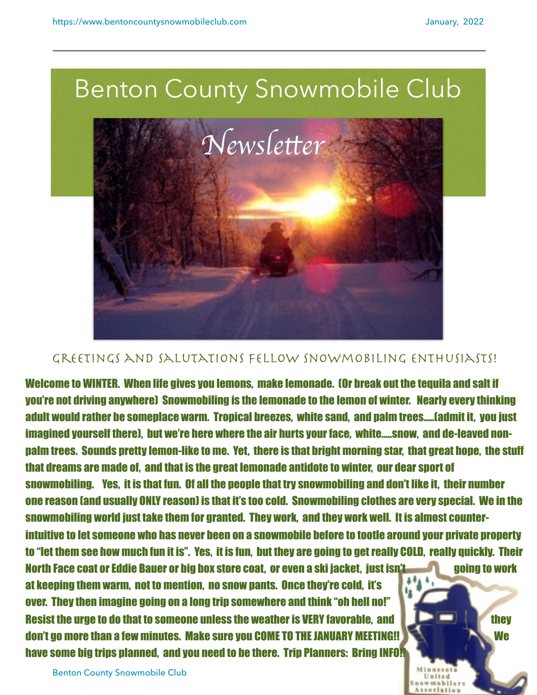wmahile



## GREETINGS AND SALUTATIONS FELLOW SNOWMOBILING ENTHUSIASTS!

Welcome to WINTER. When life gives you lemons, make lemonade. (Or break out the tequila and salt if you're not driving anywhere) Snowmobiling is the lemonade to the lemon of winter. Nearly every thinking adult would rather be someplace warm. Tropical breezes, white sand, and palm trees…..(admit it, you just imagined yourself there), but we're here where the air hurts your face, white…..snow, and de-leaved nonpalm trees. Sounds pretty lemon-like to me. Yet, there is that bright morning star, that great hope, the stuff that dreams are made of, and that is the great lemonade antidote to winter, our dear sport of snowmobiling. Yes, it is that fun. Of all the people that try snowmobiling and don't like it, their number one reason (and usually ONLY reason) is that it's too cold. Snowmobiling clothes are very special. We in the snowmobiling world just take them for granted. They work, and they work well. It is almost counterintuitive to let someone who has never been on a snowmobile before to tootle around your private property to "let them see how much fun it is". Yes, it is fun, but they are going to get really COLD, really quickly. Their North Face coat or Eddie Bauer or big box store coat, or even a ski jacket, just isn't going to work at keeping them warm, not to mention, no snow pants. Once they're cold, it's over. They then imagine going on a long trip somewhere and think "oh hell no!" Resist the urge to do that to someone unless the weather is VERY favorable, and the same they they don't go more than a few minutes. Make sure you COME TO THE JANUARY MEETING!! We will have the we have some big trips planned, and you need to be there. Trip Planners: Bring INFO!

Benton County Snowmobile Club 1